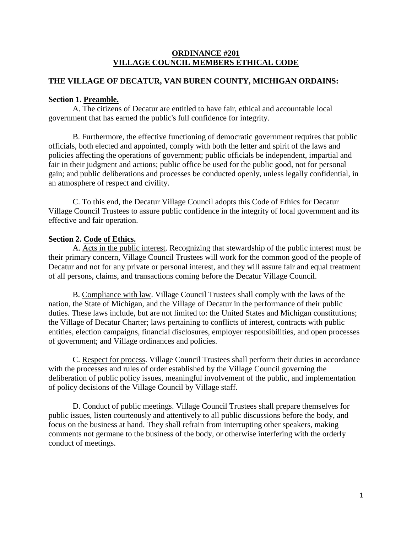#### **ORDINANCE #201 VILLAGE COUNCIL MEMBERS ETHICAL CODE**

## **THE VILLAGE OF DECATUR, VAN BUREN COUNTY, MICHIGAN ORDAINS:**

#### **Section 1. Preamble.**

A. The citizens of Decatur are entitled to have fair, ethical and accountable local government that has earned the public's full confidence for integrity.

B. Furthermore, the effective functioning of democratic government requires that public officials, both elected and appointed, comply with both the letter and spirit of the laws and policies affecting the operations of government; public officials be independent, impartial and fair in their judgment and actions; public office be used for the public good, not for personal gain; and public deliberations and processes be conducted openly, unless legally confidential, in an atmosphere of respect and civility.

C. To this end, the Decatur Village Council adopts this Code of Ethics for Decatur Village Council Trustees to assure public confidence in the integrity of local government and its effective and fair operation.

### **Section 2. Code of Ethics.**

A. Acts in the public interest. Recognizing that stewardship of the public interest must be their primary concern, Village Council Trustees will work for the common good of the people of Decatur and not for any private or personal interest, and they will assure fair and equal treatment of all persons, claims, and transactions coming before the Decatur Village Council.

B. Compliance with law. Village Council Trustees shall comply with the laws of the nation, the State of Michigan, and the Village of Decatur in the performance of their public duties. These laws include, but are not limited to: the United States and Michigan constitutions; the Village of Decatur Charter; laws pertaining to conflicts of interest, contracts with public entities, election campaigns, financial disclosures, employer responsibilities, and open processes of government; and Village ordinances and policies.

C. Respect for process. Village Council Trustees shall perform their duties in accordance with the processes and rules of order established by the Village Council governing the deliberation of public policy issues, meaningful involvement of the public, and implementation of policy decisions of the Village Council by Village staff.

D. Conduct of public meetings. Village Council Trustees shall prepare themselves for public issues, listen courteously and attentively to all public discussions before the body, and focus on the business at hand. They shall refrain from interrupting other speakers, making comments not germane to the business of the body, or otherwise interfering with the orderly conduct of meetings.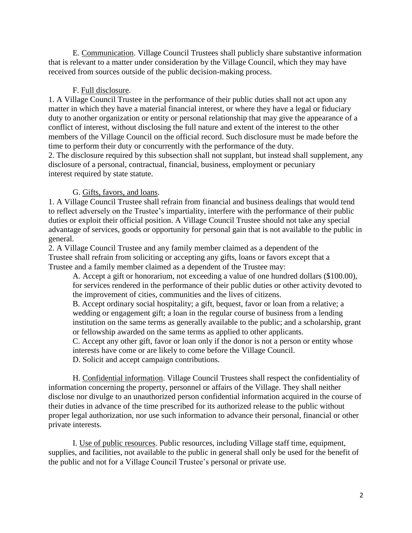E. Communication. Village Council Trustees shall publicly share substantive information that is relevant to a matter under consideration by the Village Council, which they may have received from sources outside of the public decision-making process.

### F. Full disclosure.

1. A Village Council Trustee in the performance of their public duties shall not act upon any matter in which they have a material financial interest, or where they have a legal or fiduciary duty to another organization or entity or personal relationship that may give the appearance of a conflict of interest, without disclosing the full nature and extent of the interest to the other members of the Village Council on the official record. Such disclosure must be made before the time to perform their duty or concurrently with the performance of the duty.

2. The disclosure required by this subsection shall not supplant, but instead shall supplement, any disclosure of a personal, contractual, financial, business, employment or pecuniary interest required by state statute.

## G. Gifts, favors, and loans.

1. A Village Council Trustee shall refrain from financial and business dealings that would tend to reflect adversely on the Trustee's impartiality, interfere with the performance of their public duties or exploit their official position. A Village Council Trustee should not take any special advantage of services, goods or opportunity for personal gain that is not available to the public in general.

2. A Village Council Trustee and any family member claimed as a dependent of the Trustee shall refrain from soliciting or accepting any gifts, loans or favors except that a Trustee and a family member claimed as a dependent of the Trustee may:

A. Accept a gift or honorarium, not exceeding a value of one hundred dollars (\$100.00), for services rendered in the performance of their public duties or other activity devoted to the improvement of cities, communities and the lives of citizens.

B. Accept ordinary social hospitality; a gift, bequest, favor or loan from a relative; a wedding or engagement gift; a loan in the regular course of business from a lending institution on the same terms as generally available to the public; and a scholarship, grant or fellowship awarded on the same terms as applied to other applicants.

C. Accept any other gift, favor or loan only if the donor is not a person or entity whose interests have come or are likely to come before the Village Council.

D. Solicit and accept campaign contributions.

H. Confidential information. Village Council Trustees shall respect the confidentiality of information concerning the property, personnel or affairs of the Village. They shall neither disclose nor divulge to an unauthorized person confidential information acquired in the course of their duties in advance of the time prescribed for its authorized release to the public without proper legal authorization, nor use such information to advance their personal, financial or other private interests.

I. Use of public resources. Public resources, including Village staff time, equipment, supplies, and facilities, not available to the public in general shall only be used for the benefit of the public and not for a Village Council Trustee's personal or private use.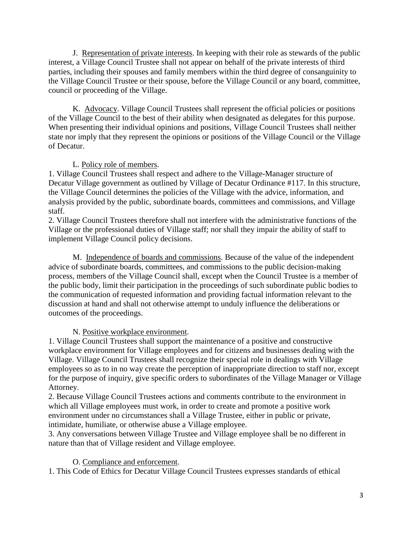J. Representation of private interests. In keeping with their role as stewards of the public interest, a Village Council Trustee shall not appear on behalf of the private interests of third parties, including their spouses and family members within the third degree of consanguinity to the Village Council Trustee or their spouse, before the Village Council or any board, committee, council or proceeding of the Village.

K. Advocacy. Village Council Trustees shall represent the official policies or positions of the Village Council to the best of their ability when designated as delegates for this purpose. When presenting their individual opinions and positions, Village Council Trustees shall neither state nor imply that they represent the opinions or positions of the Village Council or the Village of Decatur.

## L. Policy role of members.

1. Village Council Trustees shall respect and adhere to the Village-Manager structure of Decatur Village government as outlined by Village of Decatur Ordinance #117. In this structure, the Village Council determines the policies of the Village with the advice, information, and analysis provided by the public, subordinate boards, committees and commissions, and Village staff.

2. Village Council Trustees therefore shall not interfere with the administrative functions of the Village or the professional duties of Village staff; nor shall they impair the ability of staff to implement Village Council policy decisions.

M. Independence of boards and commissions. Because of the value of the independent advice of subordinate boards, committees, and commissions to the public decision-making process, members of the Village Council shall, except when the Council Trustee is a member of the public body, limit their participation in the proceedings of such subordinate public bodies to the communication of requested information and providing factual information relevant to the discussion at hand and shall not otherwise attempt to unduly influence the deliberations or outcomes of the proceedings.

# N. Positive workplace environment.

1. Village Council Trustees shall support the maintenance of a positive and constructive workplace environment for Village employees and for citizens and businesses dealing with the Village. Village Council Trustees shall recognize their special role in dealings with Village employees so as to in no way create the perception of inappropriate direction to staff nor, except for the purpose of inquiry, give specific orders to subordinates of the Village Manager or Village Attorney.

2. Because Village Council Trustees actions and comments contribute to the environment in which all Village employees must work, in order to create and promote a positive work environment under no circumstances shall a Village Trustee, either in public or private, intimidate, humiliate, or otherwise abuse a Village employee.

3. Any conversations between Village Trustee and Village employee shall be no different in nature than that of Village resident and Village employee.

## O. Compliance and enforcement.

1. This Code of Ethics for Decatur Village Council Trustees expresses standards of ethical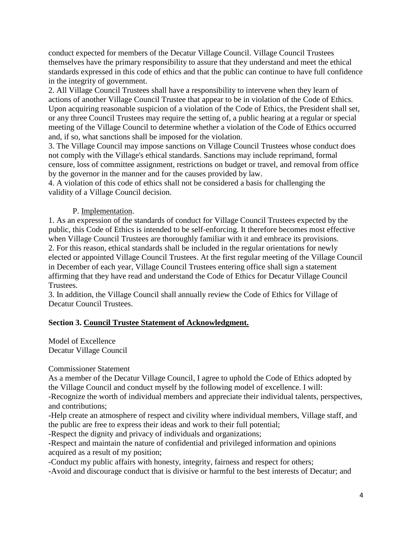conduct expected for members of the Decatur Village Council. Village Council Trustees themselves have the primary responsibility to assure that they understand and meet the ethical standards expressed in this code of ethics and that the public can continue to have full confidence in the integrity of government.

2. All Village Council Trustees shall have a responsibility to intervene when they learn of actions of another Village Council Trustee that appear to be in violation of the Code of Ethics. Upon acquiring reasonable suspicion of a violation of the Code of Ethics, the President shall set, or any three Council Trustees may require the setting of, a public hearing at a regular or special meeting of the Village Council to determine whether a violation of the Code of Ethics occurred and, if so, what sanctions shall be imposed for the violation.

3. The Village Council may impose sanctions on Village Council Trustees whose conduct does not comply with the Village's ethical standards. Sanctions may include reprimand, formal censure, loss of committee assignment, restrictions on budget or travel, and removal from office by the governor in the manner and for the causes provided by law.

4. A violation of this code of ethics shall not be considered a basis for challenging the validity of a Village Council decision.

## P. Implementation.

1. As an expression of the standards of conduct for Village Council Trustees expected by the public, this Code of Ethics is intended to be self-enforcing. It therefore becomes most effective when Village Council Trustees are thoroughly familiar with it and embrace its provisions. 2. For this reason, ethical standards shall be included in the regular orientations for newly elected or appointed Village Council Trustees. At the first regular meeting of the Village Council in December of each year, Village Council Trustees entering office shall sign a statement affirming that they have read and understand the Code of Ethics for Decatur Village Council Trustees.

3. In addition, the Village Council shall annually review the Code of Ethics for Village of Decatur Council Trustees.

# **Section 3. Council Trustee Statement of Acknowledgment.**

Model of Excellence Decatur Village Council

Commissioner Statement

As a member of the Decatur Village Council, I agree to uphold the Code of Ethics adopted by the Village Council and conduct myself by the following model of excellence. I will:

-Recognize the worth of individual members and appreciate their individual talents, perspectives, and contributions;

-Help create an atmosphere of respect and civility where individual members, Village staff, and the public are free to express their ideas and work to their full potential;

-Respect the dignity and privacy of individuals and organizations;

-Respect and maintain the nature of confidential and privileged information and opinions acquired as a result of my position;

-Conduct my public affairs with honesty, integrity, fairness and respect for others;

-Avoid and discourage conduct that is divisive or harmful to the best interests of Decatur; and